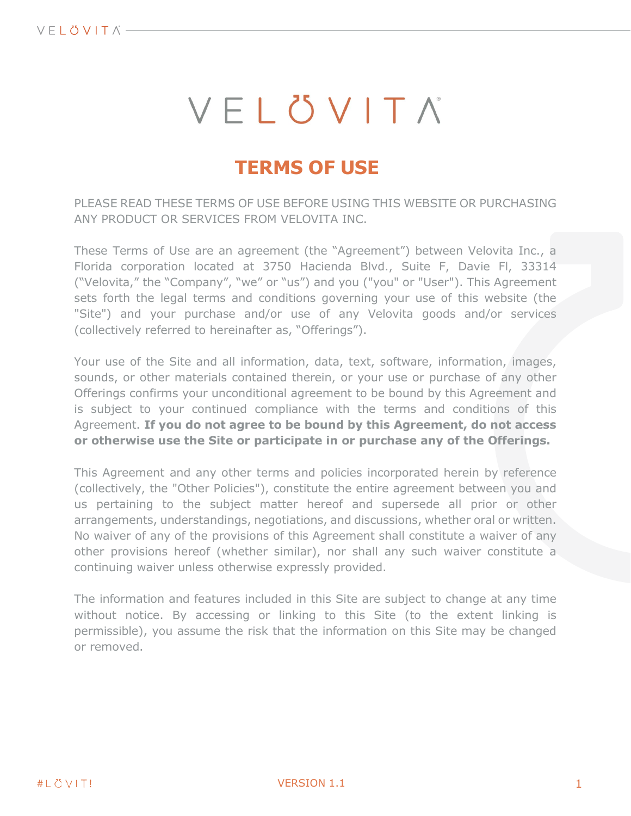# VELÖVITA

## **TERMS OF USE**

PLEASE READ THESE TERMS OF USE BEFORE USING THIS WEBSITE OR PURCHASING ANY PRODUCT OR SERVICES FROM VELOVITA INC.

These Terms of Use are an agreement (the "Agreement") between Velovita Inc., a Florida corporation located at 3750 Hacienda Blvd., Suite F, Davie Fl, 33314 ("Velovita," the "Company", "we" or "us") and you ("you" or "User"). This Agreement sets forth the legal terms and conditions governing your use of this website (the "Site") and your purchase and/or use of any Velovita goods and/or services (collectively referred to hereinafter as, "Offerings").

Your use of the Site and all information, data, text, software, information, images, sounds, or other materials contained therein, or your use or purchase of any other Offerings confirms your unconditional agreement to be bound by this Agreement and is subject to your continued compliance with the terms and conditions of this Agreement. **If you do not agree to be bound by this Agreement, do not access or otherwise use the Site or participate in or purchase any of the Offerings.**

This Agreement and any other terms and policies incorporated herein by reference (collectively, the "Other Policies"), constitute the entire agreement between you and us pertaining to the subject matter hereof and supersede all prior or other arrangements, understandings, negotiations, and discussions, whether oral or written. No waiver of any of the provisions of this Agreement shall constitute a waiver of any other provisions hereof (whether similar), nor shall any such waiver constitute a continuing waiver unless otherwise expressly provided.

The information and features included in this Site are subject to change at any time without notice. By accessing or linking to this Site (to the extent linking is permissible), you assume the risk that the information on this Site may be changed or removed.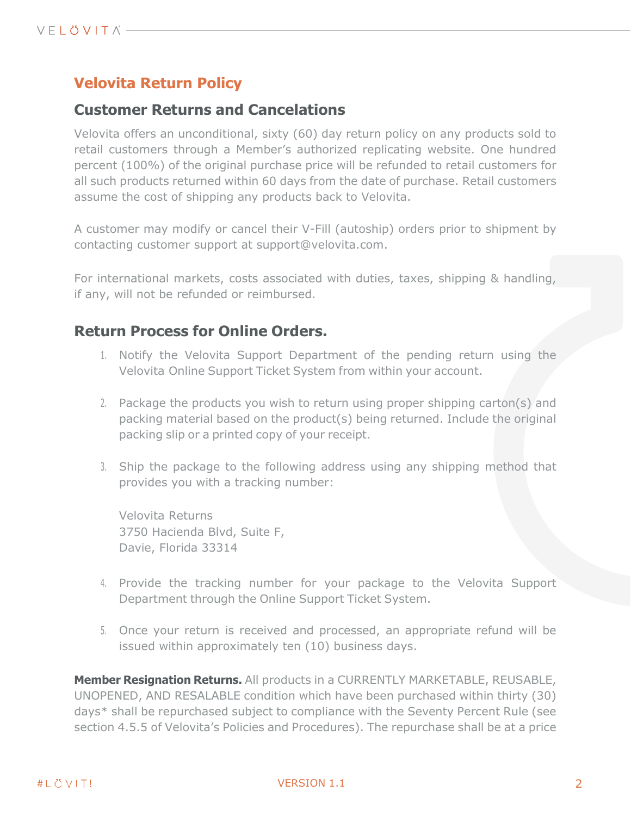## **Velovita Return Policy**

## **Customer Returns and Cancelations**

Velovita offers an unconditional, sixty (60) day return policy on any products sold to retail customers through a Member's authorized replicating website. One hundred percent (100%) of the original purchase price will be refunded to retail customers for all such products returned within 60 days from the date of purchase. Retail customers assume the cost of shipping any products back to Velovita.

A customer may modify or cancel their V-Fill (autoship) orders prior to shipment by contacting customer support at support@velovita.com.

For international markets, costs associated with duties, taxes, shipping & handling, if any, will not be refunded or reimbursed.

## **Return Process for Online Orders.**

- 1. Notify the Velovita Support Department of the pending return using the Velovita Online Support Ticket System from within your account.
- 2. Package the products you wish to return using proper shipping carton(s) and packing material based on the product(s) being returned. Include the original packing slip or a printed copy of your receipt.
- 3. Ship the package to the following address using any shipping method that provides you with a tracking number:

Velovita Returns 3750 Hacienda Blvd, Suite F, Davie, Florida 33314

- 4. Provide the tracking number for your package to the Velovita Support Department through the Online Support Ticket System.
- 5. Once your return is received and processed, an appropriate refund will be issued within approximately ten (10) business days.

**Member Resignation Returns.** All products in a CURRENTLY MARKETABLE, REUSABLE, UNOPENED, AND RESALABLE condition which have been purchased within thirty (30) days\* shall be repurchased subject to compliance with the Seventy Percent Rule (see section 4.5.5 of Velovita's Policies and Procedures). The repurchase shall be at a price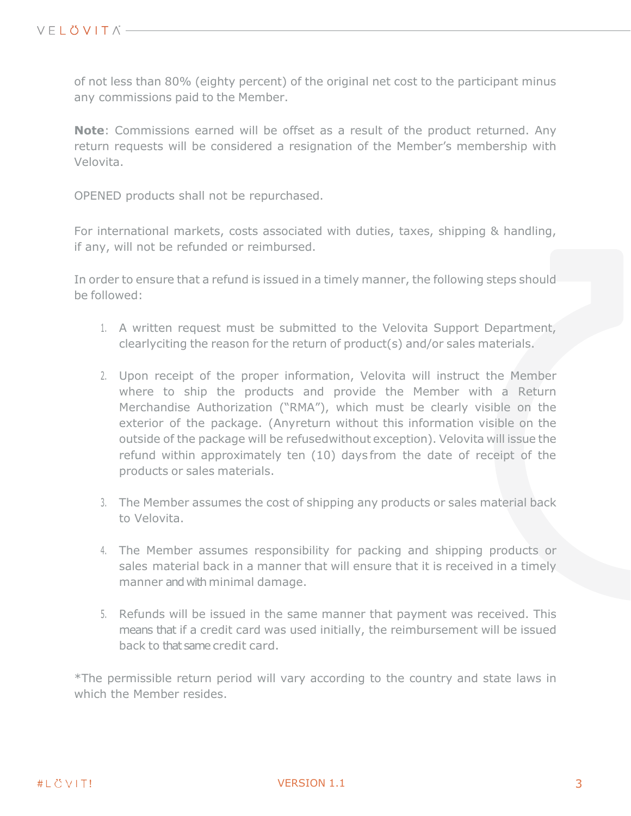of not less than 80% (eighty percent) of the original net cost to the participant minus any commissions paid to the Member.

**Note**: Commissions earned will be offset as a result of the product returned. Any return requests will be considered a resignation of the Member's membership with Velovita.

OPENED products shall not be repurchased.

For international markets, costs associated with duties, taxes, shipping & handling, if any, will not be refunded or reimbursed.

In order to ensure that a refund is issued in a timely manner, the following steps should be followed:

- 1. A written request must be submitted to the Velovita Support Department, clearlyciting the reason for the return of product(s) and/or sales materials.
- 2. Upon receipt of the proper information, Velovita will instruct the Member where to ship the products and provide the Member with a Return Merchandise Authorization ("RMA"), which must be clearly visible on the exterior of the package. (Anyreturn without this information visible on the outside of the package will be refusedwithout exception). Velovita will issue the refund within approximately ten (10) days from the date of receipt of the products or sales materials.
- 3. The Member assumes the cost of shipping any products or sales material back to Velovita.
- 4. The Member assumes responsibility for packing and shipping products or sales material back in a manner that will ensure that it is received in a timely manner and with minimal damage.
- 5. Refunds will be issued in the same manner that payment was received. This means that if a credit card was used initially, the reimbursement will be issued back to that same credit card.

\*The permissible return period will vary according to the country and state laws in which the Member resides.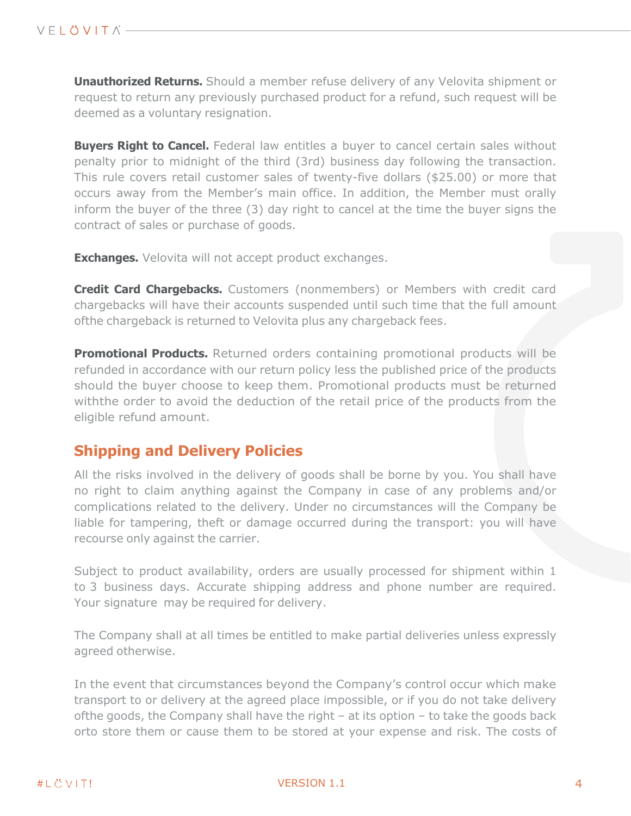**Unauthorized Returns.** Should a member refuse delivery of any Velovita shipment or request to return any previously purchased product for a refund, such request will be deemed as a voluntary resignation.

**Buyers Right to Cancel.** Federal law entitles a buyer to cancel certain sales without penalty prior to midnight of the third (3rd) business day following the transaction. This rule covers retail customer sales of twenty-five dollars (\$25.00) or more that occurs away from the Member's main office. In addition, the Member must orally inform the buyer of the three (3) day right to cancel at the time the buyer signs the contract of sales or purchase of goods.

**Exchanges.** Velovita will not accept product exchanges.

**Credit Card Chargebacks.** Customers (nonmembers) or Members with credit card chargebacks will have their accounts suspended until such time that the full amount ofthe chargeback is returned to Velovita plus any chargeback fees.

**Promotional Products.** Returned orders containing promotional products will be refunded in accordance with our return policy less the published price of the products should the buyer choose to keep them. Promotional products must be returned withthe order to avoid the deduction of the retail price of the products from the eligible refund amount.

## **Shipping and Delivery Policies**

All the risks involved in the delivery of goods shall be borne by you. You shall have no right to claim anything against the Company in case of any problems and/or complications related to the delivery. Under no circumstances will the Company be liable for tampering, theft or damage occurred during the transport: you will have recourse only against the carrier.

Subject to product availability, orders are usually processed for shipment within 1 to 3 business days. Accurate shipping address and phone number are required. Your signature may be required for delivery.

The Company shall at all times be entitled to make partial deliveries unless expressly agreed otherwise.

In the event that circumstances beyond the Company's control occur which make transport to or delivery at the agreed place impossible, or if you do not take delivery ofthe goods, the Company shall have the right – at its option – to take the goods back orto store them or cause them to be stored at your expense and risk. The costs of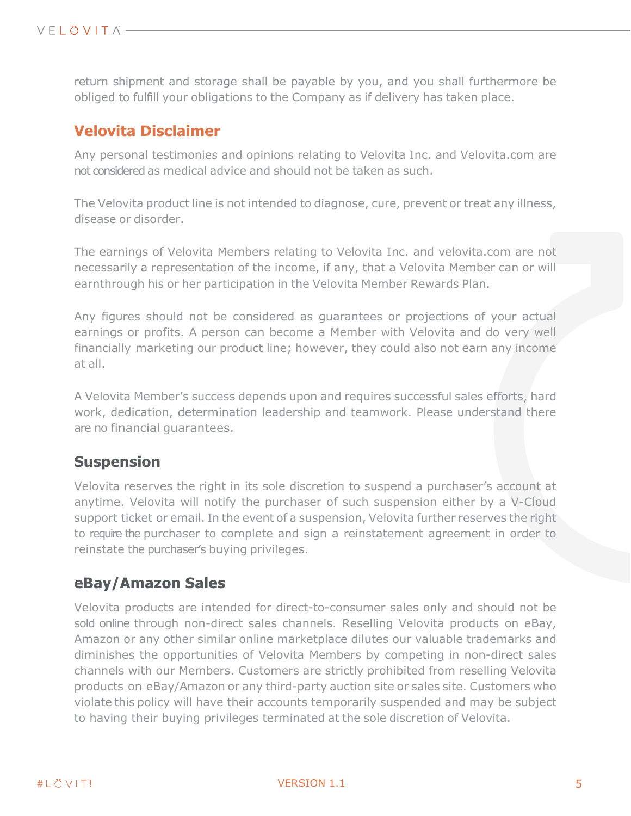return shipment and storage shall be payable by you, and you shall furthermore be obliged to fulfill your obligations to the Company as if delivery has taken place.

## **Velovita Disclaimer**

Any personal testimonies and opinions relating to Velovita Inc. and Velovita.com are not considered as medical advice and should not be taken as such.

The Velovita product line is not intended to diagnose, cure, prevent or treat any illness, disease or disorder.

The earnings of Velovita Members relating to Velovita Inc. and velovita.com are not necessarily a representation of the income, if any, that a Velovita Member can or will earnthrough his or her participation in the Velovita Member Rewards Plan.

Any figures should not be considered as guarantees or projections of your actual earnings or profits. A person can become a Member with Velovita and do very well financially marketing our product line; however, they could also not earn any income at all.

A Velovita Member's success depends upon and requires successful sales efforts, hard work, dedication, determination leadership and teamwork. Please understand there are no financial guarantees.

## **Suspension**

Velovita reserves the right in its sole discretion to suspend a purchaser's account at anytime. Velovita will notify the purchaser of such suspension either by a V-Cloud support ticket or email. In the event of a suspension, Velovita further reserves the right to require the purchaser to complete and sign a reinstatement agreement in order to reinstate the purchaser's buying privileges.

## **eBay/Amazon Sales**

Velovita products are intended for direct-to-consumer sales only and should not be sold online through non-direct sales channels. Reselling Velovita products on eBay, Amazon or any other similar online marketplace dilutes our valuable trademarks and diminishes the opportunities of Velovita Members by competing in non-direct sales channels with our Members. Customers are strictly prohibited from reselling Velovita products on eBay/Amazon or any third-party auction site or sales site. Customers who violate this policy will have their accounts temporarily suspended and may be subject to having their buying privileges terminated at the sole discretion of Velovita.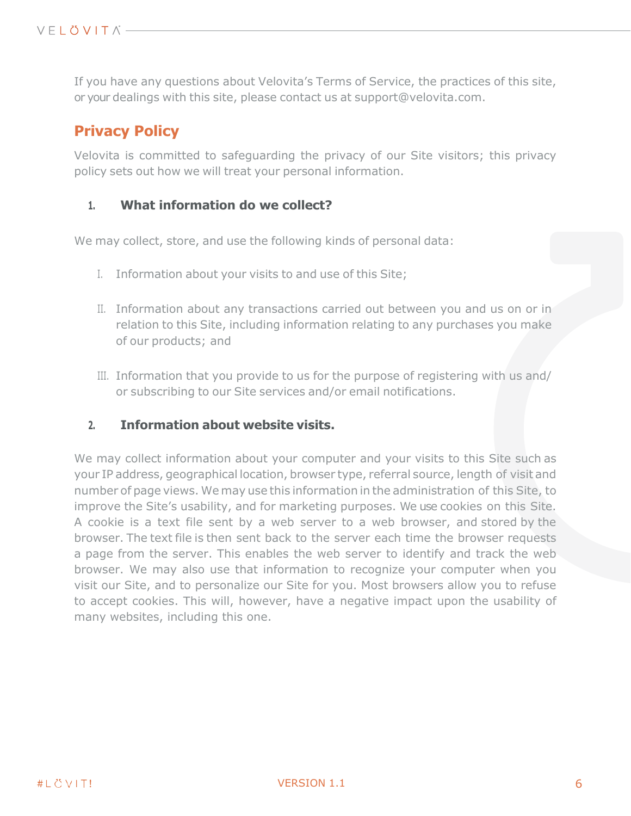If you have any questions about Velovita's Terms of Service, the practices of this site, or your dealings with this site, please contact us at [support@velovita.com.](mailto:support@velovita.com)

## **Privacy Policy**

Velovita is committed to safeguarding the privacy of our Site visitors; this privacy policy sets out how we will treat your personal information.

#### **1. What information do we collect?**

We may collect, store, and use the following kinds of personal data:

- I. Information about your visits to and use of this Site;
- II. Information about any transactions carried out between you and us on or in relation to this Site, including information relating to any purchases you make of our products; and
- III. Information that you provide to us for the purpose of registering with us and/ or subscribing to our Site services and/or email notifications.

#### **2. Information about website visits.**

We may collect information about your computer and your visits to this Site such as your IP address, geographical location, browser type, referral source, length of visit and number of page views. We may use this information in the administration of this Site, to improve the Site's usability, and for marketing purposes. We use cookies on this Site. A cookie is a text file sent by a web server to a web browser, and stored by the browser. The text file is then sent back to the server each time the browser requests a page from the server. This enables the web server to identify and track the web browser. We may also use that information to recognize your computer when you visit our Site, and to personalize our Site for you. Most browsers allow you to refuse to accept cookies. This will, however, have a negative impact upon the usability of many websites, including this one.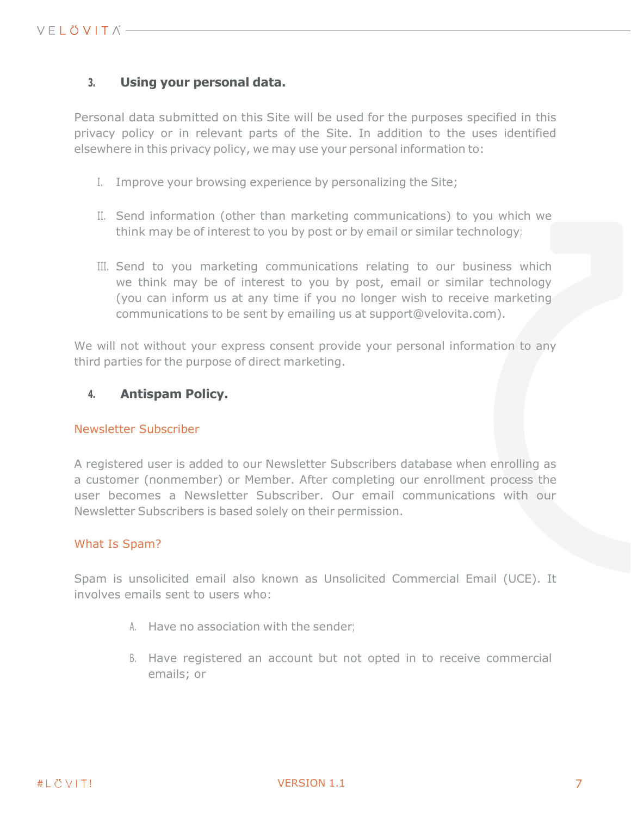#### **3. Using your personal data.**

Personal data submitted on this Site will be used for the purposes specified in this privacy policy or in relevant parts of the Site. In addition to the uses identified elsewhere in this privacy policy, we may use your personal information to:

- I. Improve your browsing experience by personalizing the Site;
- II. Send information (other than marketing communications) to you which we think may be of interest to you by post or by email or similar technology;
- III. Send to you marketing communications relating to our business which we think may be of interest to you by post, email or similar technology (you can inform us at any time if you no longer wish to receive marketing communications to be sent by emailing us at support@velovita.com).

We will not without your express consent provide your personal information to any third parties for the purpose of direct marketing.

#### **4. Antispam Policy.**

#### Newsletter Subscriber

A registered user is added to our Newsletter Subscribers database when enrolling as a customer (nonmember) or Member. After completing our enrollment process the user becomes a Newsletter Subscriber. Our email communications with our Newsletter Subscribers is based solely on their permission.

#### What Is Spam?

Spam is unsolicited email also known as Unsolicited Commercial Email (UCE). It involves emails sent to users who:

- A. Have no association with the sender;
- B. Have registered an account but not opted in to receive commercial emails; or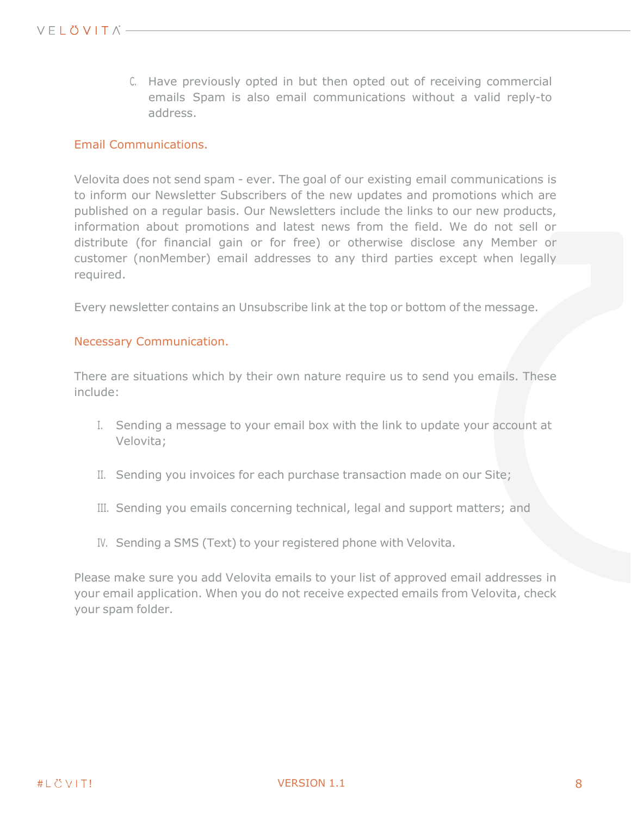C. Have previously opted in but then opted out of receiving commercial emails Spam is also email communications without a valid reply-to address.

#### Email Communications.

Velovita does not send spam - ever. The goal of our existing email communications is to inform our Newsletter Subscribers of the new updates and promotions which are published on a regular basis. Our Newsletters include the links to our new products, information about promotions and latest news from the field. We do not sell or distribute (for financial gain or for free) or otherwise disclose any Member or customer (nonMember) email addresses to any third parties except when legally required.

Every newsletter contains an Unsubscribe link at the top or bottom of the message.

#### Necessary Communication.

There are situations which by their own nature require us to send you emails. These include:

- I. Sending a message to your email box with the link to update your account at Velovita;
- II. Sending you invoices for each purchase transaction made on our Site;
- III. Sending you emails concerning technical, legal and support matters; and
- IV. Sending a SMS (Text) to your registered phone with Velovita.

Please make sure you add Velovita emails to your list of approved email addresses in your email application. When you do not receive expected emails from Velovita, check your spam folder.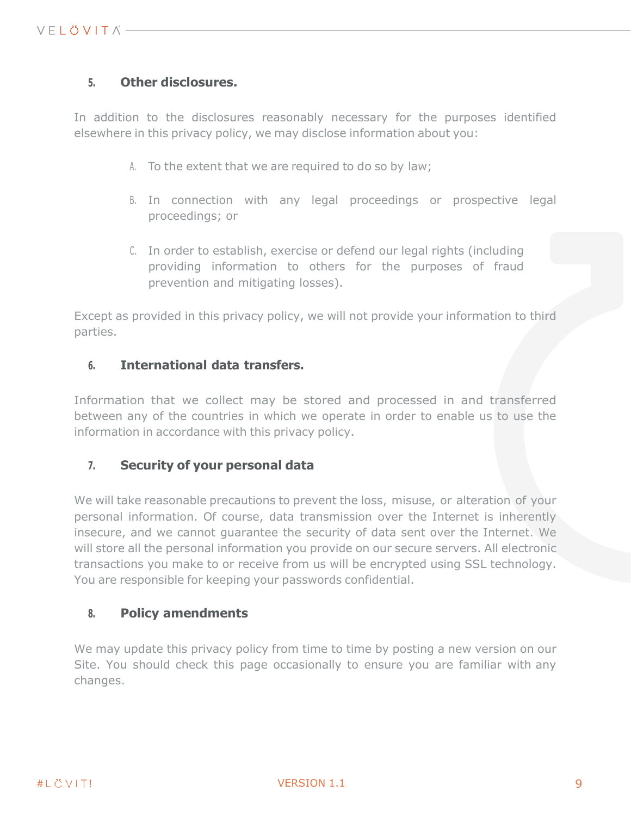#### **5. Other disclosures.**

In addition to the disclosures reasonably necessary for the purposes identified elsewhere in this privacy policy, we may disclose information about you:

- A. To the extent that we are required to do so by law;
- B. In connection with any legal proceedings or prospective legal proceedings; or
- C. In order to establish, exercise or defend our legal rights (including providing information to others for the purposes of fraud prevention and mitigating losses).

Except as provided in this privacy policy, we will not provide your information to third parties.

#### **6. International data transfers.**

Information that we collect may be stored and processed in and transferred between any of the countries in which we operate in order to enable us to use the information in accordance with this privacy policy.

#### **7. Security of your personal data**

We will take reasonable precautions to prevent the loss, misuse, or alteration of your personal information. Of course, data transmission over the Internet is inherently insecure, and we cannot guarantee the security of data sent over the Internet. We will store all the personal information you provide on our secure servers. All electronic transactions you make to or receive from us will be encrypted using SSL technology. You are responsible for keeping your passwords confidential.

#### **8. Policy amendments**

We may update this privacy policy from time to time by posting a new version on our Site. You should check this page occasionally to ensure you are familiar with any changes.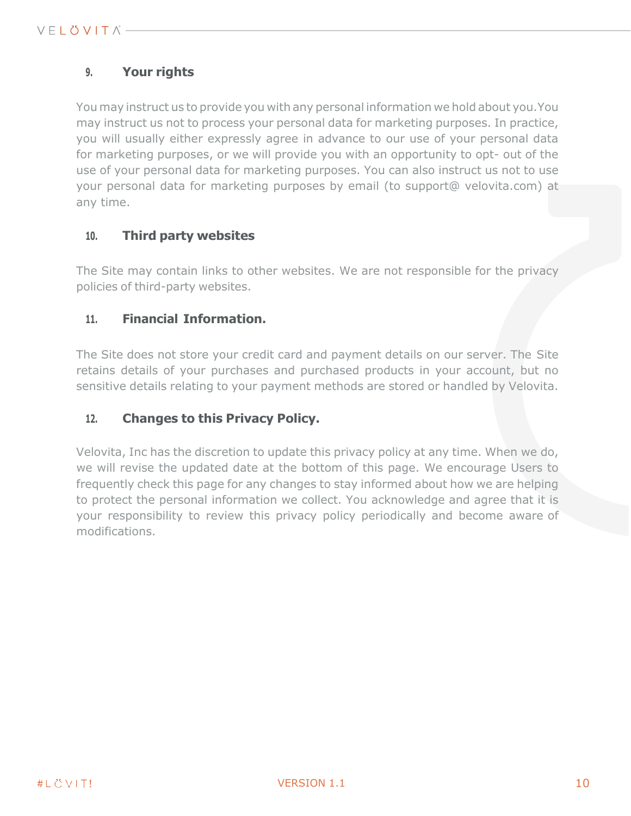## **9. Your rights**

You may instruct us to provide you with any personal information we hold about you.You may instruct us not to process your personal data for marketing purposes. In practice, you will usually either expressly agree in advance to our use of your personal data for marketing purposes, or we will provide you with an opportunity to opt- out of the use of your personal data for marketing purposes. You can also instruct us not to use your personal data for marketing purposes by email (to support@ velovita.com) at any time.

#### **10. Third party websites**

The Site may contain links to other websites. We are not responsible for the privacy policies of third-party websites.

#### **11. Financial Information.**

The Site does not store your credit card and payment details on our server. The Site retains details of your purchases and purchased products in your account, but no sensitive details relating to your payment methods are stored or handled by Velovita.

#### **12. Changes to this Privacy Policy.**

Velovita, Inc has the discretion to update this privacy policy at any time. When we do, we will revise the updated date at the bottom of this page. We encourage Users to frequently check this page for any changes to stay informed about how we are helping to protect the personal information we collect. You acknowledge and agree that it is your responsibility to review this privacy policy periodically and become aware of modifications.